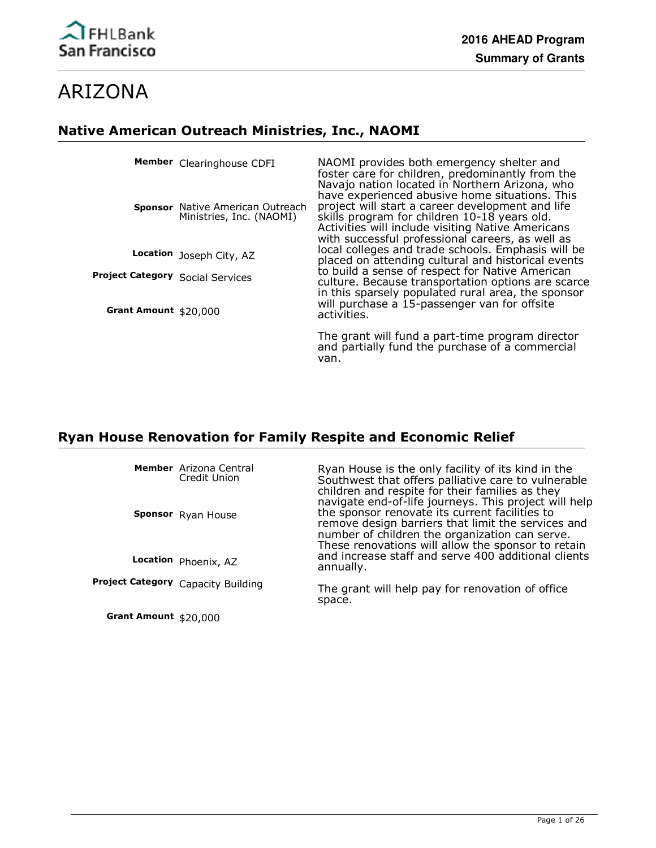

# ARIZONA

# **Native American Outreach Ministries, Inc., NAOMI**

|                                  | Member Clearinghouse CDFI                                    | NAOMI provides both emergency shelter and<br>foster care for children, predominantly from the<br>Navajo nation located in Northern Arizona, who                                                                                                             |
|----------------------------------|--------------------------------------------------------------|-------------------------------------------------------------------------------------------------------------------------------------------------------------------------------------------------------------------------------------------------------------|
|                                  | Sponsor Native American Outreach<br>Ministries, Inc. (NAOMI) | have experienced abusive home situations. This<br>project will start a career development and life<br>skills program for children 10-18 years old.<br>Activities will include visiting Native Americans<br>with successful professional careers, as well as |
|                                  | Location Joseph City, AZ                                     | local colleges and trade schools. Emphasis will be<br>placed on attending cultural and historical events                                                                                                                                                    |
| Project Category Social Services |                                                              | to build a sense of respect for Native American<br>culture. Because transportation options are scarce                                                                                                                                                       |
| Grant Amount \$20,000            |                                                              | in this sparsely populated rural area, the sponsor<br>will purchase a 15-passenger van for offsite<br>activities.                                                                                                                                           |
|                                  |                                                              | The grant will fund a part-time program director<br>and partially fund the purchase of a commercial<br>van.                                                                                                                                                 |

# **Ryan House Renovation for Family Respite and Economic Relief**

|                        | Member Arizona Central<br>Credit Union | Ryan House is the only facility of its kind in the<br>Southwest that offers palliative care to vulnerable<br>children and respite for their families as they<br>navigate end-of-life journeys. This project will help |
|------------------------|----------------------------------------|-----------------------------------------------------------------------------------------------------------------------------------------------------------------------------------------------------------------------|
|                        | Sponsor Ryan House                     | the sponsor renovate its current facilities to<br>remove design barriers that limit the services and<br>number of children the organization can serve.<br>These renovations will allow the sponsor to retain          |
|                        | Location Phoenix, AZ                   | and increase staff and serve 400 additional clients<br>annually.                                                                                                                                                      |
|                        | Project Category Capacity Building     | The grant will help pay for renovation of office<br>space.                                                                                                                                                            |
| Grant Amount $$20,000$ |                                        |                                                                                                                                                                                                                       |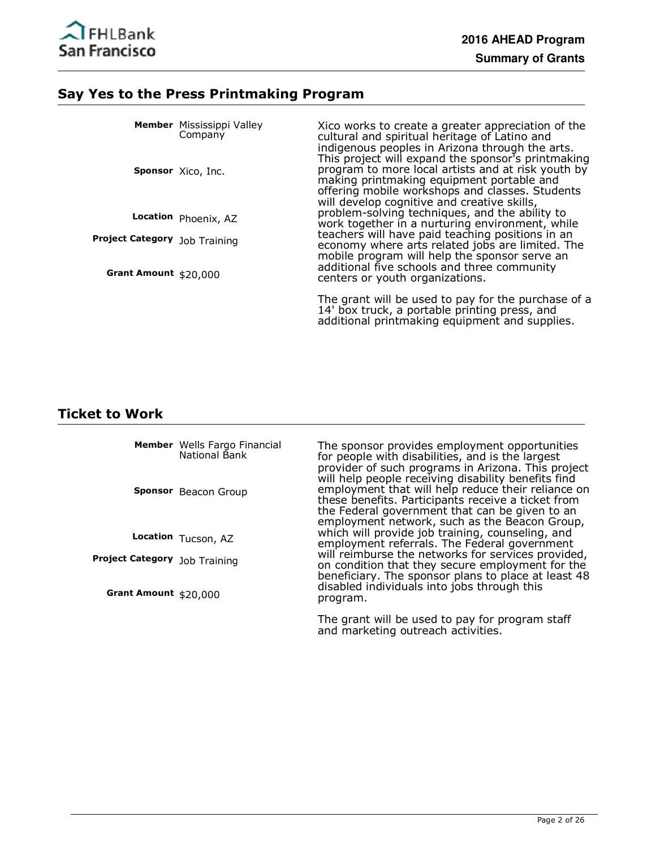

### **Say Yes to the Press Printmaking Program**

|                               | <b>Member</b> Mississippi Valley<br>Company | Xico works to create a greater appreciation of the<br>cultural and spiritual heritage of Latino and<br>indigenous peoples in Arizona through the arts.<br>This project will expand the sponsor's printmaking |
|-------------------------------|---------------------------------------------|--------------------------------------------------------------------------------------------------------------------------------------------------------------------------------------------------------------|
|                               | Sponsor Xico, Inc.                          | program to more local artists and at risk youth by<br>making printmaking equipment portable and<br>offering mobile workshops and classes. Students<br>will develop cognitive and creative skills,            |
|                               | Location Phoenix, AZ                        | problem-solving techniques, and the ability to<br>work together in a nurturing environment, while                                                                                                            |
| Project Category Job Training |                                             | teachers will have paid teaching positions in an<br>economy where arts related jobs are limited. The<br>mobile program will help the sponsor serve an                                                        |
| Grant Amount \$20,000         |                                             | additional five schools and three community<br>centers or youth organizations.                                                                                                                               |
|                               |                                             | The grant will be used to pay for the purchase of a<br>14' box truck, a portable printing press, and<br>additional printmaking equipment and supplies.                                                       |

# **Ticket to Work**

|                                      | Member Wells Fargo Financial<br>National Bank<br>Sponsor Beacon Group | The sponsor provides employment opportunities<br>for people with disabilities, and is the largest<br>provider of such programs in Arizona. This project<br>will help people receiving disability benefits find<br>employment that will help reduce their reliance on |
|--------------------------------------|-----------------------------------------------------------------------|----------------------------------------------------------------------------------------------------------------------------------------------------------------------------------------------------------------------------------------------------------------------|
|                                      |                                                                       | these benefits. Participants receive a ticket from<br>the Federal government that can be given to an<br>employment network, such as the Beacon Group,                                                                                                                |
|                                      | Location Tucson, AZ                                                   | which will provide job training, counseling, and<br>employment referrals. The Federal government                                                                                                                                                                     |
| <b>Project Category</b> Job Training |                                                                       | will reimburse the networks for services provided,<br>on condition that they secure employment for the<br>beneficiary. The sponsor plans to place at least 48                                                                                                        |
| Grant Amount $$20,000$               |                                                                       | disabled individuals into jobs through this<br>program.                                                                                                                                                                                                              |

The grant will be used to pay for program staff and marketing outreach activities.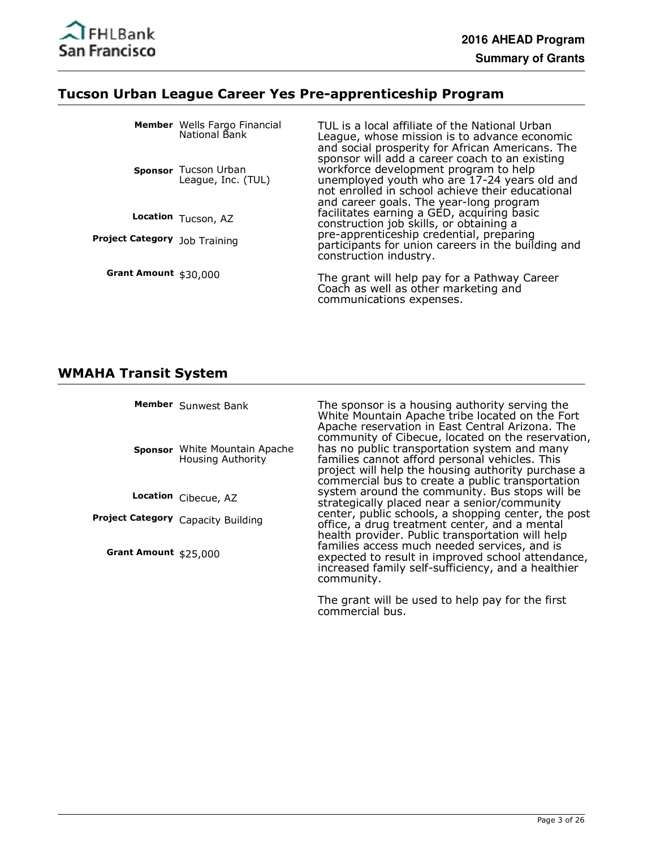

#### **Tucson Urban League Career Yes Pre-apprenticeship Program**

|                                      | Member Wells Fargo Financial<br>National Bank<br>Sponsor Tucson Urban<br>League, Inc. (TUL) | TUL is a local affiliate of the National Urban<br>League, whose mission is to advance economic<br>and social prosperity for African Americans. The<br>sponsor will add a career coach to an existing<br>workforce development program to help<br>unemployed youth who are 17-24 years old and<br>not enrolled in school achieve their educational<br>and career goals. The year-long program |
|--------------------------------------|---------------------------------------------------------------------------------------------|----------------------------------------------------------------------------------------------------------------------------------------------------------------------------------------------------------------------------------------------------------------------------------------------------------------------------------------------------------------------------------------------|
|                                      | Location Tucson, AZ                                                                         | facilitates earning a GED, acquiring basic<br>construction job skills, or obtaining a                                                                                                                                                                                                                                                                                                        |
| <b>Project Category</b> Job Training |                                                                                             | pre-apprenticeship credential, preparing<br>participants for union careers in the building and<br>construction industry.                                                                                                                                                                                                                                                                     |
| Grant Amount $$30,000$               |                                                                                             | The grant will help pay for a Pathway Career<br>Coach as well as other marketing and<br>communications expenses.                                                                                                                                                                                                                                                                             |

# **WMAHA Transit System**

|                       | Member Sunwest Bank<br><b>Sponsor</b> White Mountain Apache<br><b>Housing Authority</b> | The sponsor is a housing authority serving the<br>White Mountain Apache tribe located on the Fort<br>Apache reservation in East Central Arizona. The<br>community of Cibecue, located on the reservation,<br>has no public transportation system and many<br>families cannot afford personal vehicles. This<br>project will help the housing authority purchase a<br>commercial bus to create a public transportation |
|-----------------------|-----------------------------------------------------------------------------------------|-----------------------------------------------------------------------------------------------------------------------------------------------------------------------------------------------------------------------------------------------------------------------------------------------------------------------------------------------------------------------------------------------------------------------|
|                       | Location Cibecue, AZ                                                                    | system around the community. Bus stops will be<br>strategically placed near a senior/community                                                                                                                                                                                                                                                                                                                        |
|                       | Project Category Capacity Building                                                      | center, public schools, a shopping center, the post<br>office, a drug treatment center, and a mental<br>health provider. Public transportation will help                                                                                                                                                                                                                                                              |
| Grant Amount \$25,000 |                                                                                         | families access much needed services, and is<br>expected to result in improved school attendance,<br>increased family self-sufficiency, and a healthier<br>community.                                                                                                                                                                                                                                                 |

The grant will be used to help pay for the first commercial bus.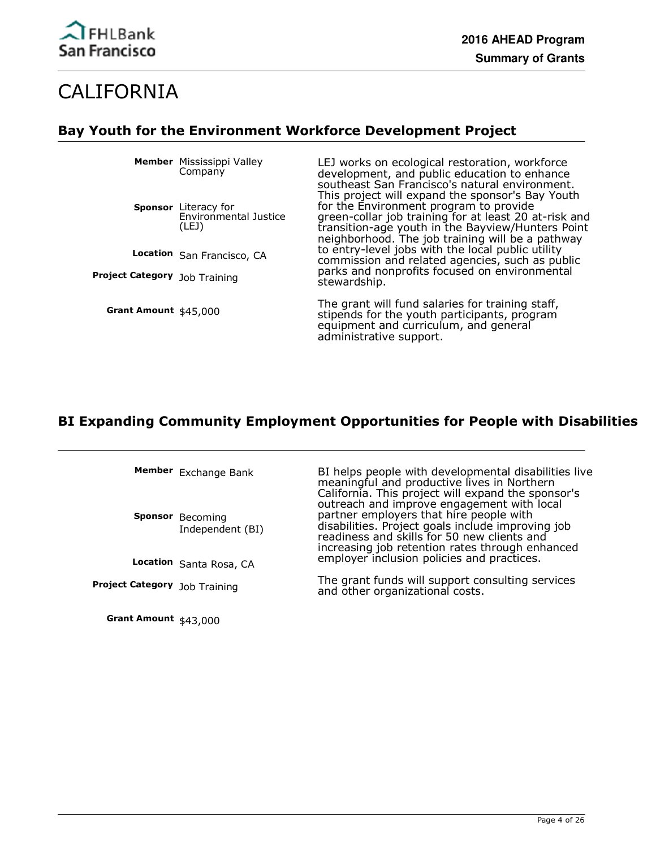

# CALIFORNIA

# **Bay Youth for the Environment Workforce Development Project**

**Member** Mississippi Valley Company

**Sponsor** Literacy for Environmental Justice (LEJ)

**Location** San Francisco, CA

**Project Category** Job Training

**Grant Amount** \$45,000

LEJ works on ecological restoration, workforce development, and public education to enhance southeast San Francisco's natural environment. This project will expand the sponsor's Bay Youth for the Environment program to provide green-collar job training for at least 20 at-risk and transition-age youth in the Bayview/Hunters Point neighborhood. The job training will be a pathway to entry-level jobs with the local public utility commission and related agencies, such as public parks and nonprofits focused on environmental stewardship.

The grant will fund salaries for training staff, stipends for the youth participants, program equipment and curriculum, and general administrative support.

# **BI Expanding Community Employment Opportunities for People with Disabilities**

|                                      | Member Exchange Bank<br><b>Sponsor</b> Becoming<br>Independent (BI) | BI helps people with developmental disabilities live<br>meaningful and productive lives in Northern<br>California. This project will expand the sponsor's<br>outreach and improve engagement with local<br>partner employers that hire people with<br>disabilities. Project goals include improving job<br>readiness and skills for 50 new clients and<br>increasing job retention rates through enhanced |
|--------------------------------------|---------------------------------------------------------------------|-----------------------------------------------------------------------------------------------------------------------------------------------------------------------------------------------------------------------------------------------------------------------------------------------------------------------------------------------------------------------------------------------------------|
|                                      | Location Santa Rosa, CA                                             | employer inclusion policies and practices.                                                                                                                                                                                                                                                                                                                                                                |
| <b>Project Category</b> Job Training |                                                                     | The grant funds will support consulting services<br>and other organizational costs.                                                                                                                                                                                                                                                                                                                       |

**Grant Amount** \$43,000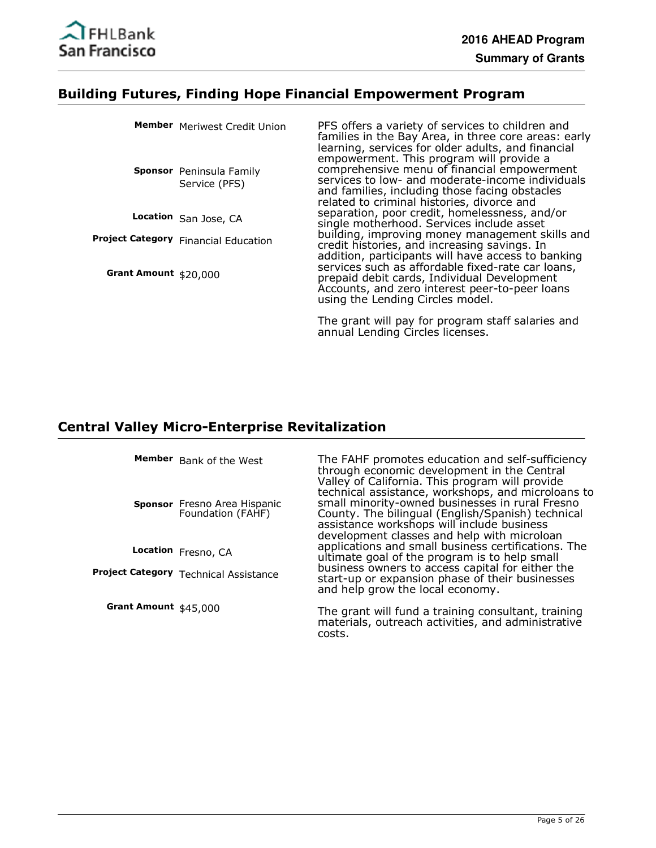

#### **Building Futures, Finding Hope Financial Empowerment Program**

|                       | Member Meriwest Credit Union<br><b>Sponsor</b> Peninsula Family<br>Service (PFS) | PFS offers a variety of services to children and<br>families in the Bay Area, in three core areas: early<br>learning, services for older adults, and financial<br>empowerment. This program will provide a<br>comprehensive menu of financial empowerment<br>services to low- and moderate-income individuals<br>and families, including those facing obstacles<br>related to criminal histories, divorce and |
|-----------------------|----------------------------------------------------------------------------------|---------------------------------------------------------------------------------------------------------------------------------------------------------------------------------------------------------------------------------------------------------------------------------------------------------------------------------------------------------------------------------------------------------------|
|                       | Location San Jose, CA                                                            | separation, poor credit, homelessness, and/or<br>single motherhood. Services include asset                                                                                                                                                                                                                                                                                                                    |
|                       | Project Category Financial Education                                             | building, improving money management skills and<br>credit histories, and increasing savings. In<br>addition, participants will have access to banking                                                                                                                                                                                                                                                         |
| Grant Amount \$20,000 |                                                                                  | services such as affordable fixed-rate car loans,<br>prepaid debit cards, Individual Development<br>Accounts, and zero interest peer-to-peer loans<br>using the Lending Circles model.                                                                                                                                                                                                                        |
|                       |                                                                                  |                                                                                                                                                                                                                                                                                                                                                                                                               |

The grant will pay for program staff salaries and annual Lending Circles licenses.

#### **Central Valley Micro-Enterprise Revitalization**

**Member** Bank of the West

**Sponsor** Fresno Area Hispanic Foundation (FAHF)

**Location** Fresno, CA

**Project Category** Technical Assistance

**Grant Amount** \$45,000

The FAHF promotes education and self-sufficiency through economic development in the Central Valley of California. This program will provide technical assistance, workshops, and microloans to small minority-owned businesses in rural Fresno County. The bilingual (English/Spanish) technical assistance workshops will include business development classes and help with microloan applications and small business certifications. The ultimate goal of the program is to help small business owners to access capital for either the start-up or expansion phase of their businesses and help grow the local economy.

The grant will fund a training consultant, training materials, outreach activities, and administrative costs.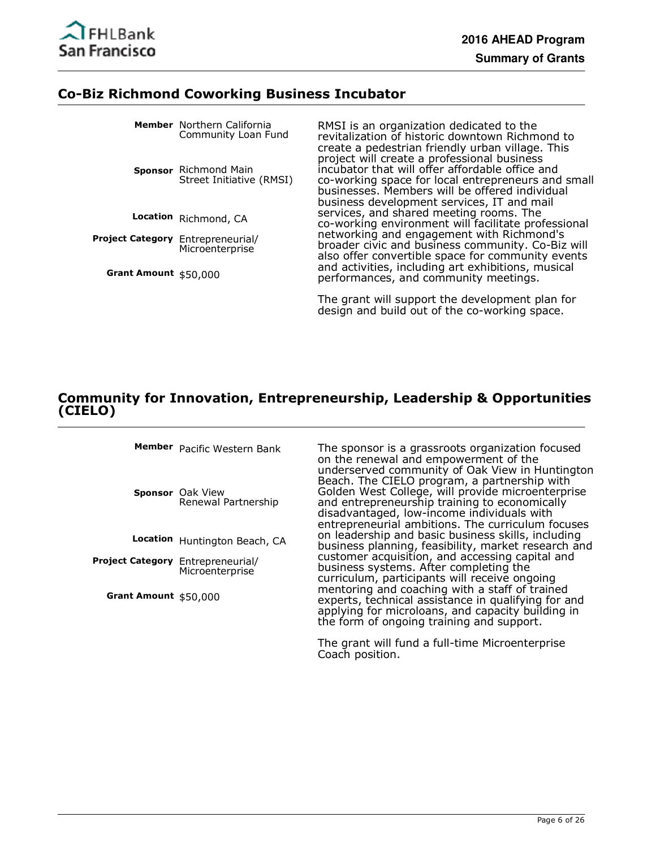

#### **Co-Biz Richmond Coworking Business Incubator**

|                                   | <b>Member</b> Northern California<br>Community Loan Fund | RMSI is an organization dedicated to the<br>revitalization of historic downtown Richmond to<br>create a pedestrian friendly urban village. This                                                                                                      |
|-----------------------------------|----------------------------------------------------------|------------------------------------------------------------------------------------------------------------------------------------------------------------------------------------------------------------------------------------------------------|
|                                   | Sponsor Richmond Main<br>Street Initiative (RMSI)        | project will create a professional business<br>incubator that will offer affordable office and<br>co-working space for local entrepreneurs and small<br>businesses. Members will be offered individual<br>business development services, IT and mail |
|                                   | Location Richmond, CA                                    | services, and shared meeting rooms. The<br>co-working environment will facilitate professional                                                                                                                                                       |
| Project Category Entrepreneurial/ | Microenterprise                                          | networking and engagement with Richmond's<br>broader civic and business community. Co-Biz will<br>also offer convertible space for community events                                                                                                  |
| Grant Amount \$50,000             |                                                          | and activities, including art exhibitions, musical<br>performances, and community meetings.                                                                                                                                                          |
|                                   |                                                          | The grant will support the development plan for<br>design and build out of the co-working space.                                                                                                                                                     |

#### **Community for Innovation, Entrepreneurship, Leadership & Opportunities (CIELO)**

Member Pacific Western Bank

**Sponsor** Oak View Renewal Partnership

**Location** Huntington Beach, CA

Project Category Entrepreneurial/ Microenterprise

**Grant Amount** \$50,000

The sponsor is a grassroots organization focused on the renewal and empowerment of the underserved community of Oak View in Huntington Beach. The CIELO program, a partnership with Golden West College, will provide microenterprise and entrepreneurship training to economically disadvantaged, low-income individuals with entrepreneurial ambitions. The curriculum focuses on leadership and basic business skills, including business planning, feasibility, market research and customer acquisition, and accessing capital and business systems. After completing the curriculum, participants will receive ongoing mentoring and coaching with a staff of trained experts, technical assistance in qualifying for and applying for microloans, and capacity building in the form of ongoing training and support.

The grant will fund a full-time Microenterprise Coach position.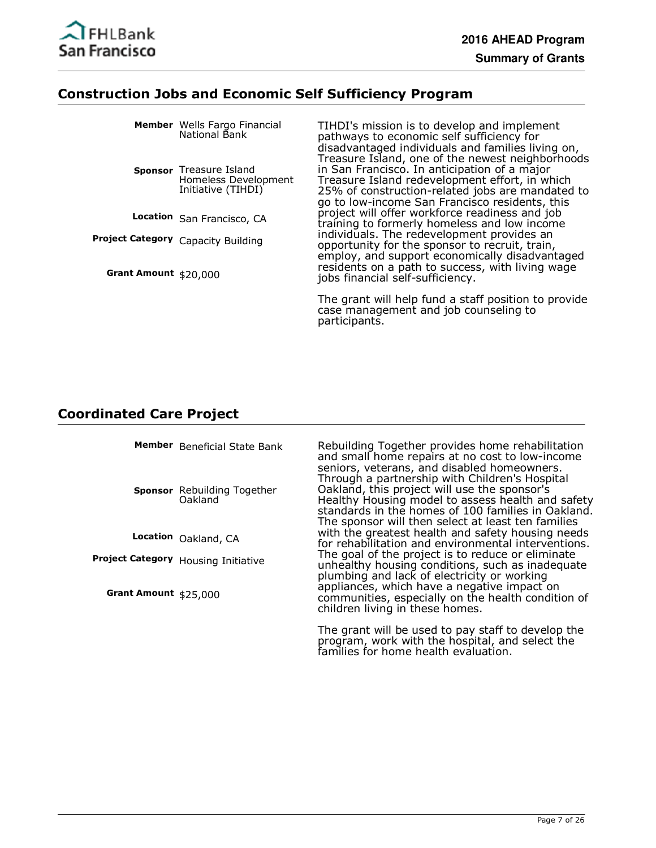

### **Construction Jobs and Economic Self Sufficiency Program**

|                       | <b>Member</b> Wells Fargo Financial<br>National Bank                  | TIHDI's mission is to develop and implement<br>pathways to economic self sufficiency for<br>disadvantaged individuals and families living on,<br>Treasure Island, one of the newest neighborhoods    |
|-----------------------|-----------------------------------------------------------------------|------------------------------------------------------------------------------------------------------------------------------------------------------------------------------------------------------|
|                       | Sponsor Treasure Island<br>Homeless Development<br>Initiative (TIHDI) | in San Francisco. In anticipation of a major<br>Treasure Island redevelopment effort, in which<br>25% of construction-related jobs are mandated to<br>go to low-income San Francisco residents, this |
|                       | Location San Francisco, CA                                            | project will offer workforce readiness and job<br>training to formerly homeless and low income                                                                                                       |
|                       | Project Category Capacity Building                                    | individuals. The redevelopment provides an<br>opportunity for the sponsor to recruit, train,<br>employ, and support economically disadvantaged<br>residents on a path to success, with living wage   |
| Grant Amount \$20,000 |                                                                       | jobs financial self-sufficiency.                                                                                                                                                                     |
|                       |                                                                       | The grant will help fund a staff position to provide                                                                                                                                                 |

The grant will help fund a staff position to provide case management and job counseling to participants.

program, work with the hospital, and select the

families for home health evaluation.

### **Coordinated Care Project**

|                        | Member Beneficial State Bank<br><b>Sponsor</b> Rebuilding Together<br>Oakland | Rebuilding Together provides home rehabilitation<br>and small home repairs at no cost to low-income<br>seniors, veterans, and disabled homeowners.<br>Through a partnership with Children's Hospital<br>Oakland, this project will use the sponsor's<br>Healthy Housing model to assess health and safety<br>standards in the homes of 100 families in Oakland.<br>The sponsor will then select at least ten families |
|------------------------|-------------------------------------------------------------------------------|-----------------------------------------------------------------------------------------------------------------------------------------------------------------------------------------------------------------------------------------------------------------------------------------------------------------------------------------------------------------------------------------------------------------------|
|                        | Location Oakland, CA                                                          | with the greatest health and safety housing needs<br>for rehabilitation and environmental interventions.                                                                                                                                                                                                                                                                                                              |
|                        | Project Category Housing Initiative                                           | The goal of the project is to reduce or eliminate<br>unhealthy housing conditions, such as inadequate<br>plumbing and lack of electricity or working<br>appliances, which have a negative impact on                                                                                                                                                                                                                   |
| Grant Amount $$25,000$ |                                                                               | communities, especially on the health condition of<br>children living in these homes.                                                                                                                                                                                                                                                                                                                                 |
|                        |                                                                               | The grant will be used to pay staff to develop the                                                                                                                                                                                                                                                                                                                                                                    |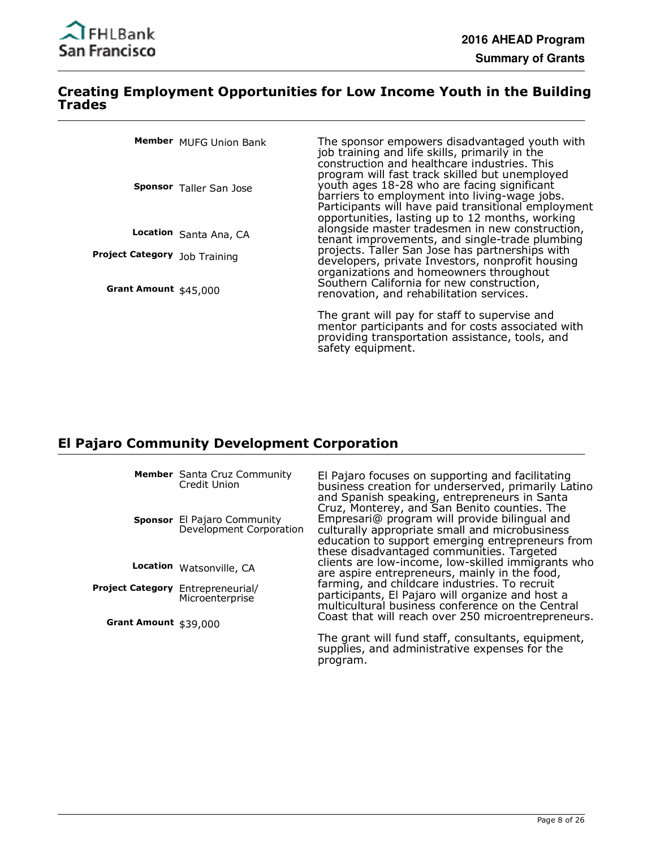

#### **Creating Employment Opportunities for Low Income Youth in the Building Trades**

|                               | Member MUFG Union Bank         | The sponsor empowers disadvantaged youth with<br>job training and life skills, primarily in the<br>construction and healthcare industries. This                                                                                                          |
|-------------------------------|--------------------------------|----------------------------------------------------------------------------------------------------------------------------------------------------------------------------------------------------------------------------------------------------------|
|                               | <b>Sponsor</b> Taller San Jose | program will fast track skilled but unemployed<br>youth ages 18-28 who are facing significant<br>barriers to employment into living-wage jobs.<br>Participants will have paid transitional employment<br>opportunities, lasting up to 12 months, working |
|                               | Location Santa Ana, CA         | alongside master tradesmen in new construction,<br>tenant improvements, and single-trade plumbing                                                                                                                                                        |
| Project Category Job Training |                                | projects. Taller San Jose has partnerships with<br>developers, private Investors, nonprofit housing<br>organizations and homeowners throughout                                                                                                           |
| Grant Amount \$45,000         |                                | Southern California for new construction,<br>renovation, and rehabilitation services.                                                                                                                                                                    |
|                               |                                | The grant will pay for staff to supervise and<br>mentor participants and for costs associated with<br>providing transportation assistance, tools, and<br>safety equipment.                                                                               |

#### **El Pajaro Community Development Corporation**

Member Santa Cruz Community Credit Union

**Sponsor** El Pajaro Community Development Corporation

Location Watsonville, CA

Project Category Entrepreneurial/ Microenterprise

**Grant Amount** \$39,000

El Pajaro focuses on supporting and facilitating business creation for underserved, primarily Latino and Spanish speaking, entrepreneurs in Santa Cruz, Monterey, and San Benito counties. The Empresari@ program will provide bilingual and culturally appropriate small and microbusiness education to support emerging entrepreneurs from these disadvantaged communities. Targeted clients are low-income, low-skilled immigrants who are aspire entrepreneurs, mainly in the food, farming, and childcare industries. To recruit participants, El Pajaro will organize and host a multicultural business conference on the Central Coast that will reach over 250 microentrepreneurs.

The grant will fund staff, consultants, equipment, supplies, and administrative expenses for the program.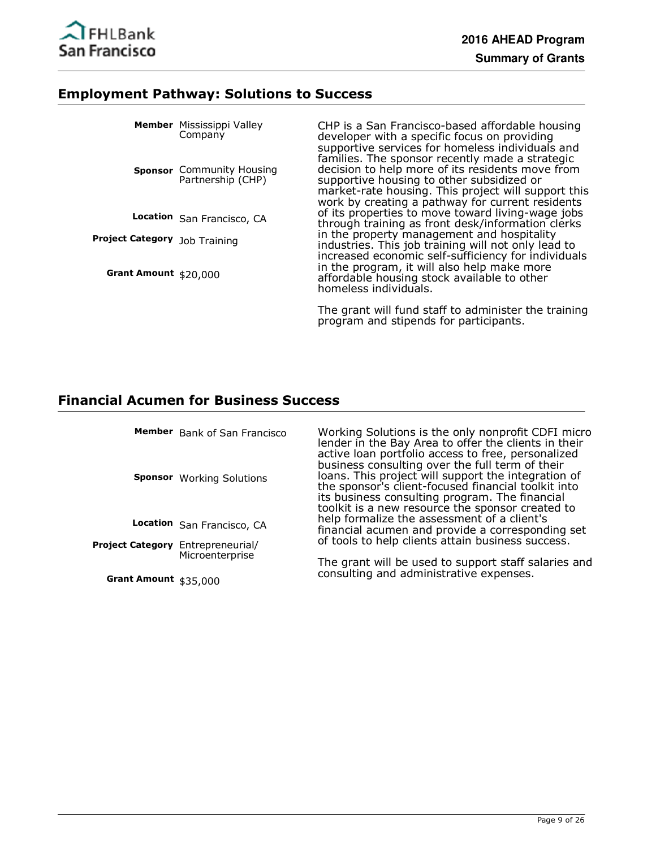

#### **Employment Pathway: Solutions to Success**

|                                      | <b>Member</b> Mississippi Valley<br>Company           | CHP is a San Francisco-based affordable housing<br>developer with a specific focus on providing<br>supportive services for homeless individuals and                                                                                                         |  |  |  |
|--------------------------------------|-------------------------------------------------------|-------------------------------------------------------------------------------------------------------------------------------------------------------------------------------------------------------------------------------------------------------------|--|--|--|
|                                      | <b>Sponsor</b> Community Housing<br>Partnership (CHP) | families. The sponsor recently made a strategic<br>decision to help more of its residents move from<br>supportive housing to other subsidized or<br>market-rate housing. This project will support this<br>work by creating a pathway for current residents |  |  |  |
|                                      | Location San Francisco, CA                            | of its properties to move toward living-wage jobs<br>through training as front desk/information clerks                                                                                                                                                      |  |  |  |
| <b>Project Category</b> Job Training |                                                       | in the property management and hospitality<br>industries. This job training will not only lead to                                                                                                                                                           |  |  |  |
| Grant Amount \$20,000                |                                                       | increased economic self-sufficiency for individuals<br>in the program, it will also help make more<br>affordable housing stock available to other<br>homeless individuals.                                                                                  |  |  |  |
|                                      |                                                       |                                                                                                                                                                                                                                                             |  |  |  |

The grant will fund staff to administer the training program and stipends for participants.

# **Financial Acumen for Business Success**

|                                   | Member Bank of San Francisco<br><b>Sponsor</b> Working Solutions | Working Solutions is the only nonprofit CDFI micro<br>lender in the Bay Area to offer the clients in their<br>active loan portfolio access to free, personalized<br>business consulting over the full term of their<br>loans. This project will support the integration of<br>the sponsor's client-focused financial toolkit into<br>its business consulting program. The financial<br>toolkit is a new resource the sponsor created to |
|-----------------------------------|------------------------------------------------------------------|-----------------------------------------------------------------------------------------------------------------------------------------------------------------------------------------------------------------------------------------------------------------------------------------------------------------------------------------------------------------------------------------------------------------------------------------|
|                                   | Location San Francisco, CA                                       | help formalize the assessment of a client's<br>financial acumen and provide a corresponding set                                                                                                                                                                                                                                                                                                                                         |
| Project Category Entrepreneurial/ |                                                                  | of tools to help clients attain business success.                                                                                                                                                                                                                                                                                                                                                                                       |
| Grant Amount \$35,000             | Microenterprise                                                  | The grant will be used to support staff salaries and<br>consulting and administrative expenses.                                                                                                                                                                                                                                                                                                                                         |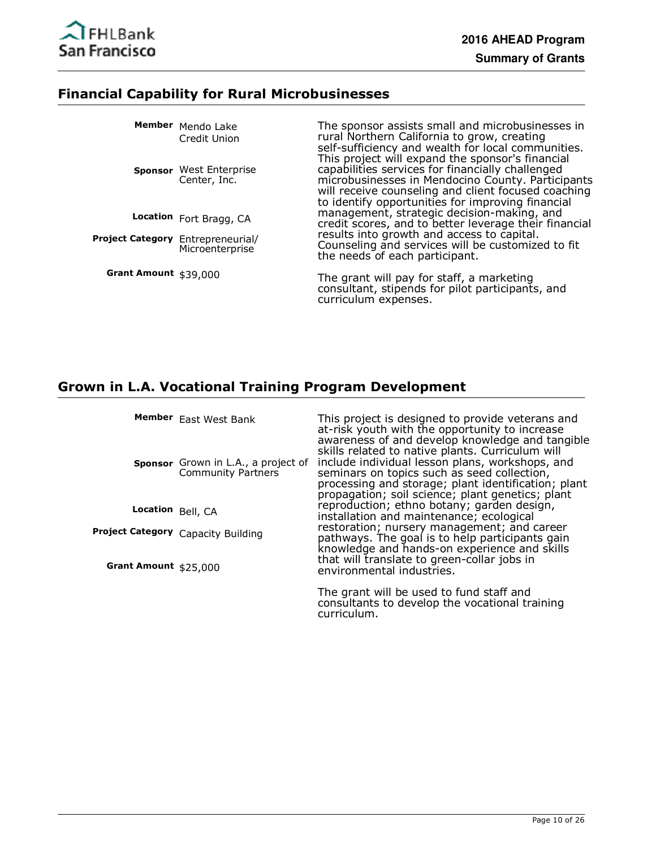

# **Financial Capability for Rural Microbusinesses**

|                                   | Member Mendo Lake<br>Credit Union<br><b>Sponsor</b> West Enterprise<br>Center, Inc. | The sponsor assists small and microbusinesses in<br>rural Northern California to grow, creating<br>self-sufficiency and wealth for local communities.<br>This project will expand the sponsor's financial<br>capabilities services for financially challenged<br>microbusinesses in Mendocino County. Participants<br>will receive counseling and client focused coaching<br>to identify opportunities for improving financial |
|-----------------------------------|-------------------------------------------------------------------------------------|--------------------------------------------------------------------------------------------------------------------------------------------------------------------------------------------------------------------------------------------------------------------------------------------------------------------------------------------------------------------------------------------------------------------------------|
|                                   | Location Fort Bragg, CA                                                             | management, strategic decision-making, and<br>credit scores, and to better leverage their financial                                                                                                                                                                                                                                                                                                                            |
| Project Category Entrepreneurial/ | Microenterprise                                                                     | results into growth and access to capital.<br>Counseling and services will be customized to fit<br>the needs of each participant.                                                                                                                                                                                                                                                                                              |
| Grant Amount \$39,000             |                                                                                     | The grant will pay for staff, a marketing<br>consultant, stipends for pilot participants, and                                                                                                                                                                                                                                                                                                                                  |

curriculum expenses.

# **Grown in L.A. Vocational Training Program Development**

|                       | Member East West Bank                                     | This project is designed to provide veterans and<br>at-risk youth with the opportunity to increase<br>awareness of and develop knowledge and tangible<br>skills related to native plants. Curriculum will |
|-----------------------|-----------------------------------------------------------|-----------------------------------------------------------------------------------------------------------------------------------------------------------------------------------------------------------|
|                       | Sponsor Grown in L.A., a project of<br>Community Partners | include individual lesson plans, workshops, and<br>seminars on topics such as seed collection,<br>processing and storage; plant identification; plant<br>propagation; soil science; plant genetics; plant |
| Location Bell, CA     |                                                           | reproduction; ethno botany; garden design,<br>installation and maintenance; ecological                                                                                                                    |
|                       | Project Category Capacity Building                        | restoration; nursery management; and career<br>pathways. The goal is to help participants gain<br>knowledge and hands-on experience and skills                                                            |
| Grant Amount \$25,000 |                                                           | that will translate to green-collar jobs in<br>environmental industries.                                                                                                                                  |
|                       |                                                           | The grant will be used to fund staff and<br>consultants to develop the vocational training<br>curriculum.                                                                                                 |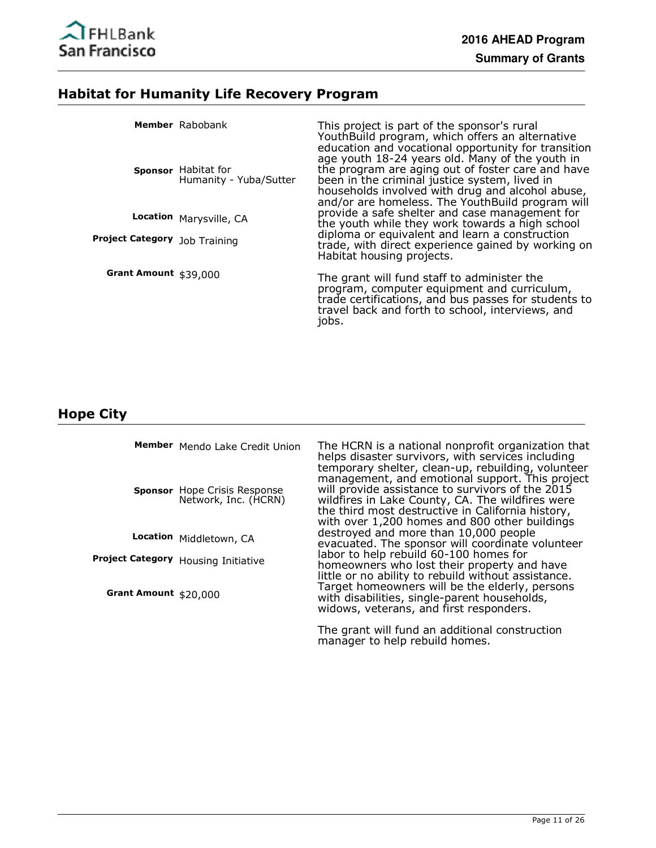

# **Habitat for Humanity Life Recovery Program**

|                               | Member Rabobank<br>Sponsor Habitat for<br>Humanity - Yuba/Sutter | This project is part of the sponsor's rural<br>YouthBuild program, which offers an alternative<br>education and vocational opportunity for transition<br>age youth 18-24 years old. Many of the youth in<br>the program are aging out of foster care and have<br>been in the criminal justice system, lived in<br>households involved with drug and alcohol abuse,<br>and/or are homeless. The YouthBuild program will |
|-------------------------------|------------------------------------------------------------------|------------------------------------------------------------------------------------------------------------------------------------------------------------------------------------------------------------------------------------------------------------------------------------------------------------------------------------------------------------------------------------------------------------------------|
| Project Category Job Training | Location Marysville, CA                                          | provide a safe shelter and case management for<br>the youth while they work towards a high school<br>diploma or equivalent and learn a construction<br>trade, with direct experience gained by working on<br>Habitat housing projects.                                                                                                                                                                                 |
| Grant Amount \$39,000         |                                                                  | The grant will fund staff to administer the<br>program, computer equipment and curriculum,<br>trade certifications, and bus passes for students to<br>travel back and forth to school, interviews, and<br>jobs.                                                                                                                                                                                                        |

# **Hope City**

|                        | Member Mendo Lake Credit Union                              | The HCRN is a national nonprofit organization that<br>helps disaster survivors, with services including<br>temporary shelter, clean-up, rebuilding, volunteer                                                                                                 |
|------------------------|-------------------------------------------------------------|---------------------------------------------------------------------------------------------------------------------------------------------------------------------------------------------------------------------------------------------------------------|
|                        | <b>Sponsor</b> Hope Crisis Response<br>Network, Inc. (HCRN) | management, and emotional support. This project<br>will provide assistance to survivors of the 2015<br>wildfires in Lake County, CA. The wildfires were<br>the third most destructive in California history,<br>with over 1,200 homes and 800 other buildings |
|                        | Location Middletown, CA                                     | destroyed and more than 10,000 people<br>evacuated. The sponsor will coordinate volunteer                                                                                                                                                                     |
|                        | Project Category Housing Initiative                         | labor to help rebuild 60-100 homes for<br>homeowners who lost their property and have                                                                                                                                                                         |
| Grant Amount $$20,000$ |                                                             | little or no ability to rebuild without assistance.<br>Target homeowners will be the elderly, persons<br>with disabilities, single-parent households,<br>widows, veterans, and first responders.                                                              |
|                        |                                                             | the set of the set of the set of the set of the set of the set of the set of the set of the set of the set of                                                                                                                                                 |

The grant will fund an additional construction manager to help rebuild homes.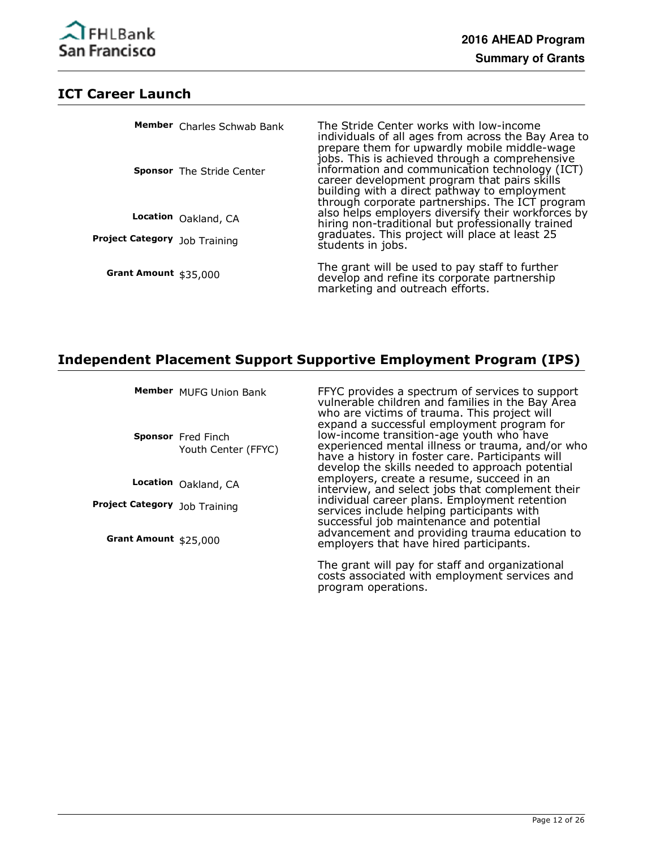#### **ICT Career Launch**

|                               | Member Charles Schwab Bank       | The Stride Center works with low-income<br>individuals of all ages from across the Bay Area to                                                                                                                                                                                                      |
|-------------------------------|----------------------------------|-----------------------------------------------------------------------------------------------------------------------------------------------------------------------------------------------------------------------------------------------------------------------------------------------------|
|                               | <b>Sponsor</b> The Stride Center | prepare them for upwardly mobile middle-wage<br>jobs. This is achieved through a comprehensive<br>information and communication technology (ICT)<br>career development program that pairs skills<br>building with a direct pathway to employment<br>through corporate partnerships. The ICT program |
|                               | Location Oakland, CA             | also helps employers diversify their workforces by<br>hiring non-traditional but professionally trained                                                                                                                                                                                             |
| Project Category Job Training |                                  | graduates. This project will place at least 25<br>students in jobs.                                                                                                                                                                                                                                 |
| Grant Amount \$35,000         |                                  | The grant will be used to pay staff to further<br>develop and refine its corporate partnership<br>marketing and outreach efforts.                                                                                                                                                                   |

#### **Independent Placement Support Supportive Employment Program (IPS)**

| <b>Member</b> MUFG Union Bank |  |
|-------------------------------|--|
|                               |  |

**Sponsor** Fred Finch Youth Center (FFYC)

**Location** Oakland, CA

**Project Category** Job Training

**Grant Amount** \$25,000

FFYC provides a spectrum of services to support vulnerable children and families in the Bay Area who are victims of trauma. This project will expand a successful employment program for low-income transition-age youth who have experienced mental illness or trauma, and/or who have a history in foster care. Participants will develop the skills needed to approach potential employers, create a resume, succeed in an interview, and select jobs that complement their individual career plans. Employment retention services include helping participants with successful job maintenance and potential advancement and providing trauma education to employers that have hired participants.

The grant will pay for staff and organizational costs associated with employment services and program operations.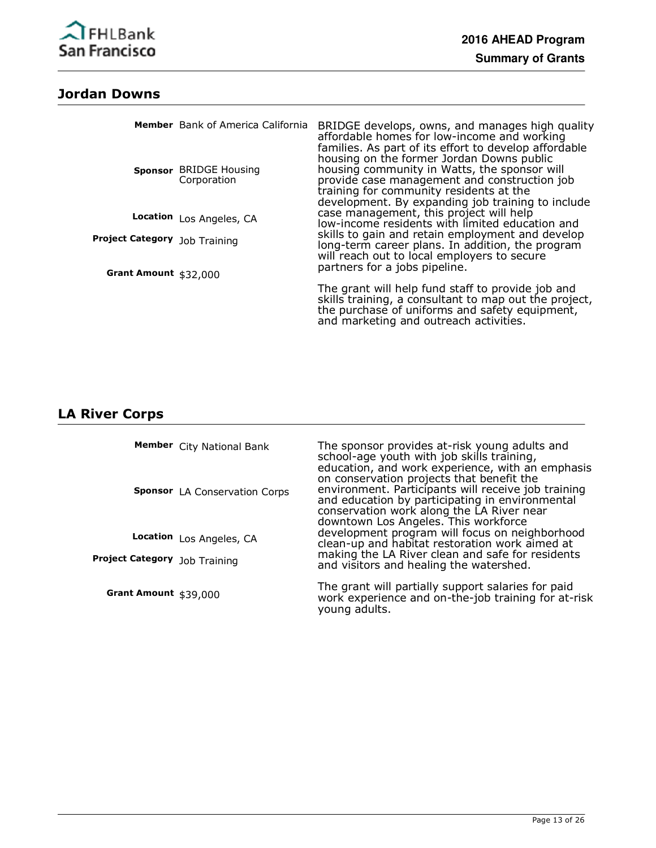

# **Jordan Downs**

|                                                               | Member Bank of America California<br>Sponsor BRIDGE Housing<br>Corporation | BRIDGE develops, owns, and manages high quality<br>affordable homes for low-income and working<br>families. As part of its effort to develop affordable<br>housing on the former Jordan Downs public<br>housing community in Watts, the sponsor will<br>provide case management and construction job<br>training for community residents at the<br>development. By expanding job training to include |
|---------------------------------------------------------------|----------------------------------------------------------------------------|------------------------------------------------------------------------------------------------------------------------------------------------------------------------------------------------------------------------------------------------------------------------------------------------------------------------------------------------------------------------------------------------------|
|                                                               | Location Los Angeles, CA                                                   | case management, this project will help<br>low-income residents with limited education and                                                                                                                                                                                                                                                                                                           |
| <b>Project Category</b> Job Training<br>Grant Amount \$32,000 |                                                                            | skills to gain and retain employment and develop<br>long-term career plans. In addition, the program<br>will reach out to local employers to secure<br>partners for a jobs pipeline.                                                                                                                                                                                                                 |
|                                                               |                                                                            | The grant will help fund staff to provide job and<br>skills training, a consultant to map out the project,<br>the purchase of uniforms and safety equipment,<br>and marketing and outreach activities.                                                                                                                                                                                               |

# **LA River Corps**

|                                      | Member City National Bank<br>Sponsor LA Conservation Corps | The sponsor provides at-risk young adults and<br>school-age youth with job skills training,<br>education, and work experience, with an emphasis<br>on conservation projects that benefit the<br>environment. Participants will receive job training<br>and education by participating in environmental<br>conservation work along the LA River near<br>downtown Los Angeles. This workforce |
|--------------------------------------|------------------------------------------------------------|---------------------------------------------------------------------------------------------------------------------------------------------------------------------------------------------------------------------------------------------------------------------------------------------------------------------------------------------------------------------------------------------|
|                                      | Location Los Angeles, CA                                   | development program will focus on neighborhood<br>clean-up and habitat restoration work aimed at                                                                                                                                                                                                                                                                                            |
| <b>Project Category</b> Job Training |                                                            | making the LA River clean and safe for residents<br>and visitors and healing the watershed.                                                                                                                                                                                                                                                                                                 |
| Grant Amount \$39,000                |                                                            | The grant will partially support salaries for paid<br>work experience and on-the-job training for at-risk<br>young adults.                                                                                                                                                                                                                                                                  |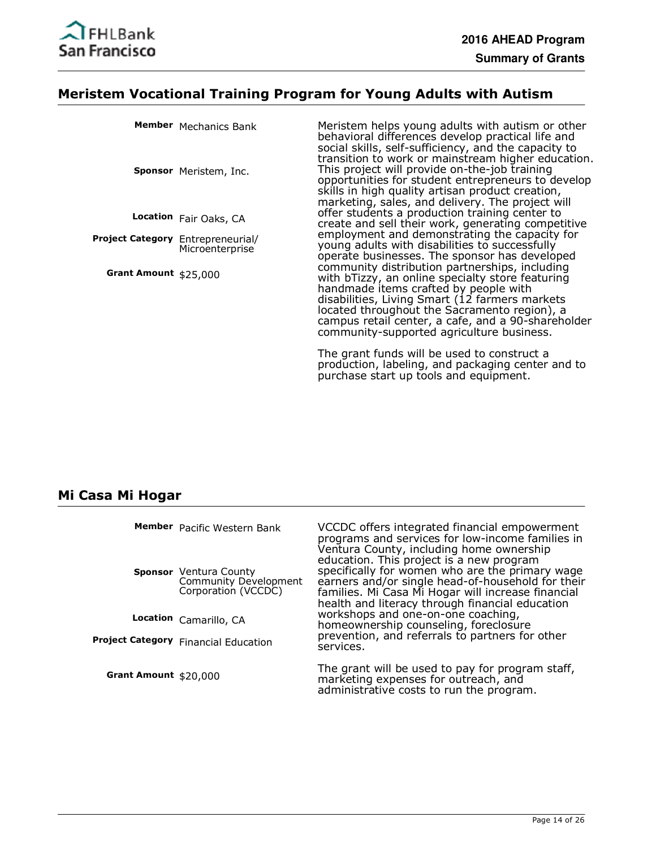

# **Meristem Vocational Training Program for Young Adults with Autism**

|                                          | Member Mechanics Bank<br>Sponsor Meristem, Inc. | Meristem helps young adults with autism or other<br>behavioral differences develop practical life and<br>social skills, self-sufficiency, and the capacity to<br>transition to work or mainstream higher education.<br>This project will provide on-the-job training<br>opportunities for student entrepreneurs to develop<br>skills in high quality artisan product creation,<br>marketing, sales, and delivery. The project will |
|------------------------------------------|-------------------------------------------------|------------------------------------------------------------------------------------------------------------------------------------------------------------------------------------------------------------------------------------------------------------------------------------------------------------------------------------------------------------------------------------------------------------------------------------|
|                                          | Location Fair Oaks, CA                          | offer students a production training center to<br>create and sell their work, generating competitive                                                                                                                                                                                                                                                                                                                               |
| <b>Project Category</b> Entrepreneurial/ | Microenterprise                                 | employment and demonstrating the capacity for<br>young adults with disabilities to successfully<br>operate businesses. The sponsor has developed                                                                                                                                                                                                                                                                                   |
| Grant Amount \$25,000                    |                                                 | community distribution partnerships, including<br>with bTizzy, an online specialty store featuring<br>handmade items crafted by people with<br>disabilities, Living Smart (12 farmers markets<br>located throughout the Sacramento region), a<br>campus retail center, a cafe, and a 90-shareholder<br>community-supported agriculture business.                                                                                   |

The grant funds will be used to construct a production, labeling, and packaging center and to purchase start up tools and equipment.

#### **Mi Casa Mi Hogar**

|                       | Member Pacific Western Bank                                                   | VCCDC offers integrated financial empowerment<br>programs and services for low-income families in<br>Ventura County, including home ownership                                                                                                             |
|-----------------------|-------------------------------------------------------------------------------|-----------------------------------------------------------------------------------------------------------------------------------------------------------------------------------------------------------------------------------------------------------|
|                       | <b>Sponsor</b> Ventura County<br>Community Development<br>Corporation (VCCDC) | education. This project is a new program<br>specifically for women who are the primary wage<br>earners and/or single head-of-household for their<br>families. Mi Casa Mi Hogar will increase financial<br>health and literacy through financial education |
|                       | Location Camarillo, CA                                                        | workshops and one-on-one coaching,<br>homeownership counseling, foreclosure                                                                                                                                                                               |
|                       | <b>Project Category</b> Financial Education                                   | prevention, and referrals to partners for other<br>services.                                                                                                                                                                                              |
| Grant Amount \$20,000 |                                                                               | The grant will be used to pay for program staff,<br>marketing expenses for outreach, and<br>administrative costs to run the program.                                                                                                                      |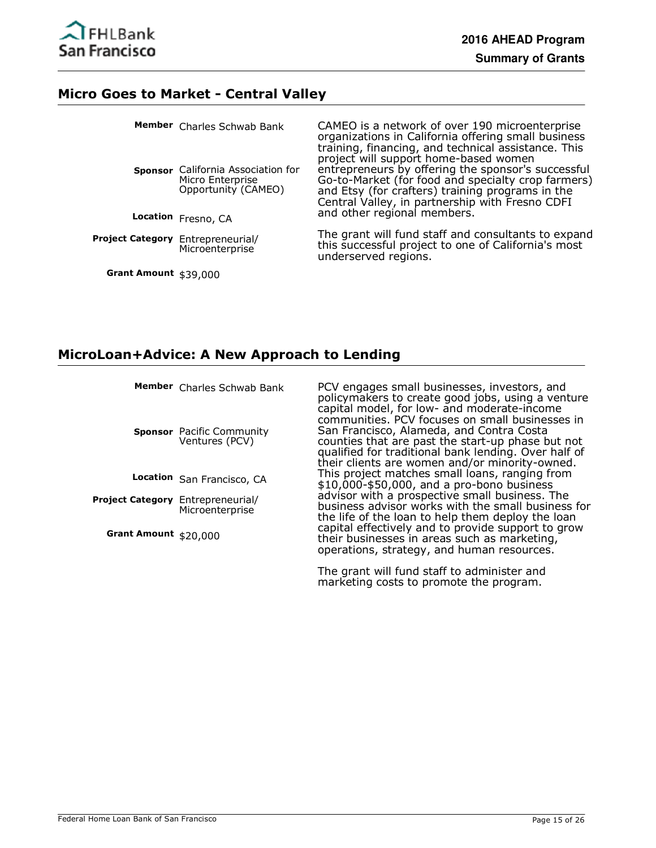

#### **Micro Goes to Market - Central Valley**

|                                   | Member Charles Schwab Bank                                                    | CAMEO is a network of over 190 microenterprise<br>organizations in California offering small business<br>training, financing, and technical assistance. This<br>project will support home-based women           |
|-----------------------------------|-------------------------------------------------------------------------------|-----------------------------------------------------------------------------------------------------------------------------------------------------------------------------------------------------------------|
|                                   | Sponsor California Association for<br>Micro Enterprise<br>Opportunity (CAMEO) | entrepreneurs by offering the sponsor's successful<br>Go-to-Market (for food and specialty crop farmers)<br>and Etsy (for crafters) training programs in the<br>Central Valley, in partnership with Fresno CDFI |
|                                   | Location Fresno, CA                                                           | and other regional members.                                                                                                                                                                                     |
| Project Category Entrepreneurial/ | Microenterprise                                                               | The grant will fund staff and consultants to expand<br>this successful project to one of California's most<br>underserved regions.                                                                              |

**Grant Amount** \$39,000

#### **MicroLoan+Advice: A New Approach to Lending**

Member Charles Schwab Bank

**Sponsor** Pacific Community Ventures (PCV)

**Location** San Francisco, CA

**Project Category** Entrepreneurial/ Microenterprise

**Grant Amount** \$20,000

PCV engages small businesses, investors, and policymakers to create good jobs, using a venture capital model, for low- and moderate-income communities. PCV focuses on small businesses in San Francisco, Alameda, and Contra Costa counties that are past the start-up phase but not qualified for traditional bank lending. Over half of their clients are women and/or minority-owned. This project matches small loans, ranging from \$10,000-\$50,000, and a pro-bono business advisor with a prospective small business. The business advisor works with the small business for the life of the loan to help them deploy the loan capital effectively and to provide support to grow their businesses in areas such as marketing, operations, strategy, and human resources.

The grant will fund staff to administer and marketing costs to promote the program.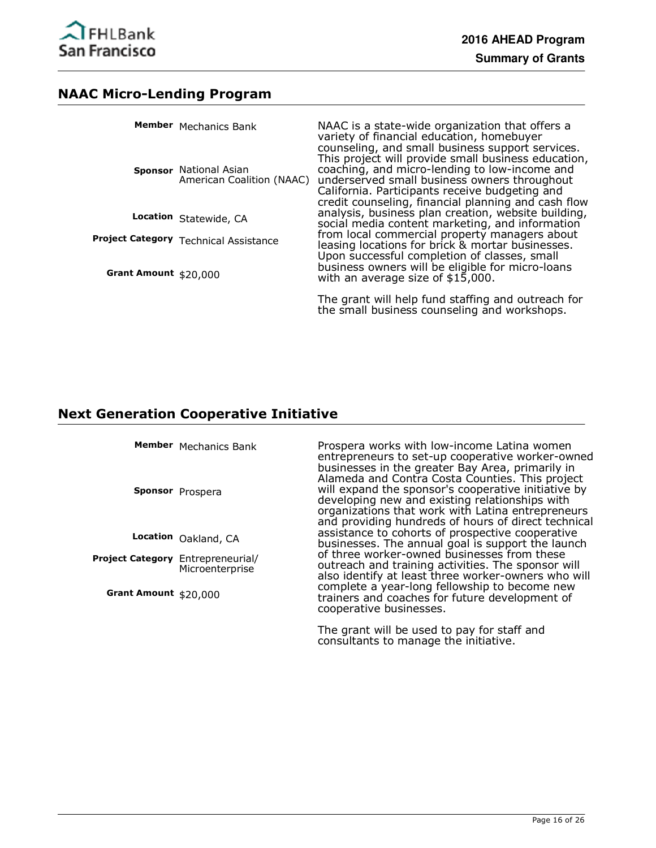

### **NAAC Micro-Lending Program**

|                       | Member Mechanics Bank<br>Sponsor National Asian<br>American Coalition (NAAC) | NAAC is a state-wide organization that offers a<br>variety of financial education, homebuyer<br>counseling, and small business support services.<br>This project will provide small business education,<br>coaching, and micro-lending to low-income and<br>underserved small business owners throughout<br>California. Participants receive budgeting and<br>credit counseling, financial planning and cash flow |
|-----------------------|------------------------------------------------------------------------------|-------------------------------------------------------------------------------------------------------------------------------------------------------------------------------------------------------------------------------------------------------------------------------------------------------------------------------------------------------------------------------------------------------------------|
|                       | Location Statewide, CA                                                       | analysis, business plan creation, website building,<br>social media content marketing, and information                                                                                                                                                                                                                                                                                                            |
| Grant Amount \$20,000 | Project Category Technical Assistance                                        | from local commercial property managers about<br>leasing locations for brick & mortar businesses.<br>Upon successful completion of classes, small<br>business owners will be eligible for micro-loans                                                                                                                                                                                                             |
|                       |                                                                              | with an average size of $$15,000$ .                                                                                                                                                                                                                                                                                                                                                                               |
|                       |                                                                              | The grant will help fund staffing and outreach for<br>the small business counseling and workshops.                                                                                                                                                                                                                                                                                                                |

# **Next Generation Cooperative Initiative**

|                                   | Member Mechanics Bank<br>Sponsor Prospera | Prospera works with low-income Latina women<br>entrepreneurs to set-up cooperative worker-owned<br>businesses in the greater Bay Area, primarily in<br>Alameda and Contra Costa Counties. This project<br>will expand the sponsor's cooperative initiative by<br>developing new and existing relationships with<br>organizations that work with Latina entrepreneurs<br>and providing hundreds of hours of direct technical |
|-----------------------------------|-------------------------------------------|-----------------------------------------------------------------------------------------------------------------------------------------------------------------------------------------------------------------------------------------------------------------------------------------------------------------------------------------------------------------------------------------------------------------------------|
|                                   | Location Oakland, CA                      | assistance to cohorts of prospective cooperative<br>businesses. The annual goal is support the launch                                                                                                                                                                                                                                                                                                                       |
| Project Category Entrepreneurial/ | Microenterprise                           | of three worker-owned businesses from these<br>outreach and training activities. The sponsor will<br>also identify at least three worker-owners who will                                                                                                                                                                                                                                                                    |
| Grant Amount $$20,000$            |                                           | complete a year-long fellowship to become new<br>trainers and coaches for future development of<br>cooperative businesses.                                                                                                                                                                                                                                                                                                  |

The grant will be used to pay for staff and consultants to manage the initiative.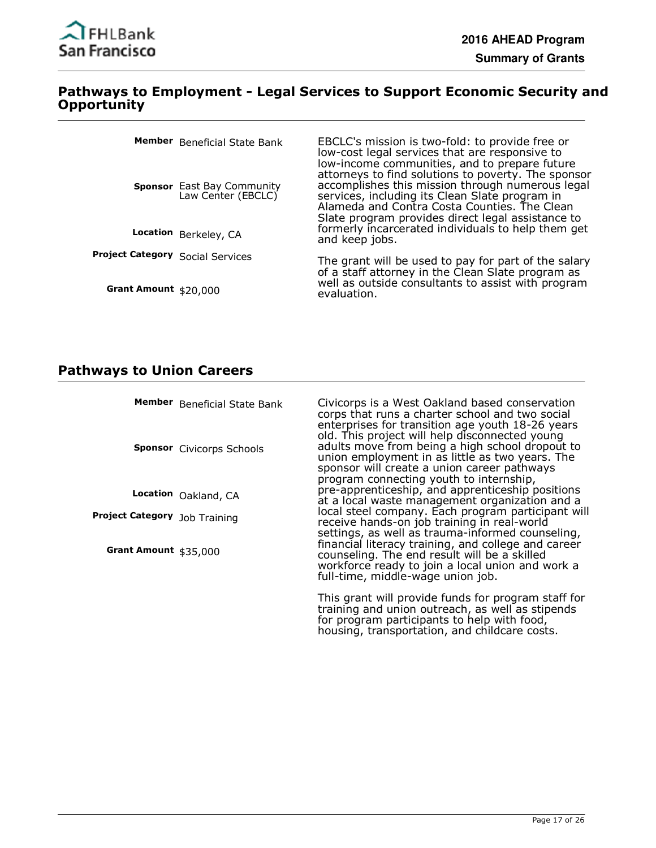

#### **Pathways to Employment - Legal Services to Support Economic Security and Opportunity**

|                                  | Member Beneficial State Bank                            | EBCLC's mission is two-fold: to provide free or<br>low-cost legal services that are responsive to<br>low-income communities, and to prepare future                                                                                                             |
|----------------------------------|---------------------------------------------------------|----------------------------------------------------------------------------------------------------------------------------------------------------------------------------------------------------------------------------------------------------------------|
|                                  | <b>Sponsor</b> East Bay Community<br>Law Center (EBCLC) | attorneys to find solutions to poverty. The sponsor<br>accomplishes this mission through numerous legal<br>services, including its Clean Slate program in<br>Alameda and Contra Costa Counties. The Clean<br>Slate program provides direct legal assistance to |
|                                  | Location Berkeley, CA                                   | formerly incarcerated individuals to help them get<br>and keep jobs.                                                                                                                                                                                           |
| Project Category Social Services |                                                         | The grant will be used to pay for part of the salary<br>of a staff attorney in the Clean Slate program as                                                                                                                                                      |
| Grant Amount \$20,000            |                                                         | well as outside consultants to assist with program<br>evaluation.                                                                                                                                                                                              |

# **Pathways to Union Careers**

|                               | Member Beneficial State Bank     | Civicorps is a West Oakland based conservation<br>corps that runs a charter school and two social<br>enterprises for transition age youth 18-26 years                                                                                                                                                                                                 |
|-------------------------------|----------------------------------|-------------------------------------------------------------------------------------------------------------------------------------------------------------------------------------------------------------------------------------------------------------------------------------------------------------------------------------------------------|
|                               | <b>Sponsor</b> Civicorps Schools | old. This project will help disconnected young<br>adults move from being a high school dropout to<br>union employment in as little as two years. The<br>sponsor will create a union career pathways<br>program connecting youth to internship,                                                                                                        |
|                               | Location Oakland, CA             | pre-apprenticeship, and apprenticeship positions<br>at a local waste management organization and a                                                                                                                                                                                                                                                    |
| Project Category Job Training |                                  | local steel company. Each program participant will<br>receive hands-on job training in real-world<br>settings, as well as trauma-informed counseling,<br>financial literacy training, and college and career<br>counseling. The end result will be a skilled<br>workforce ready to join a local union and work a<br>full-time, middle-wage union job. |
| Grant Amount \$35,000         |                                  |                                                                                                                                                                                                                                                                                                                                                       |
|                               |                                  | This grant will provide funds for program staff for<br>training and union outreach, as well as stipends                                                                                                                                                                                                                                               |

for program participants to help with food, housing, transportation, and childcare costs.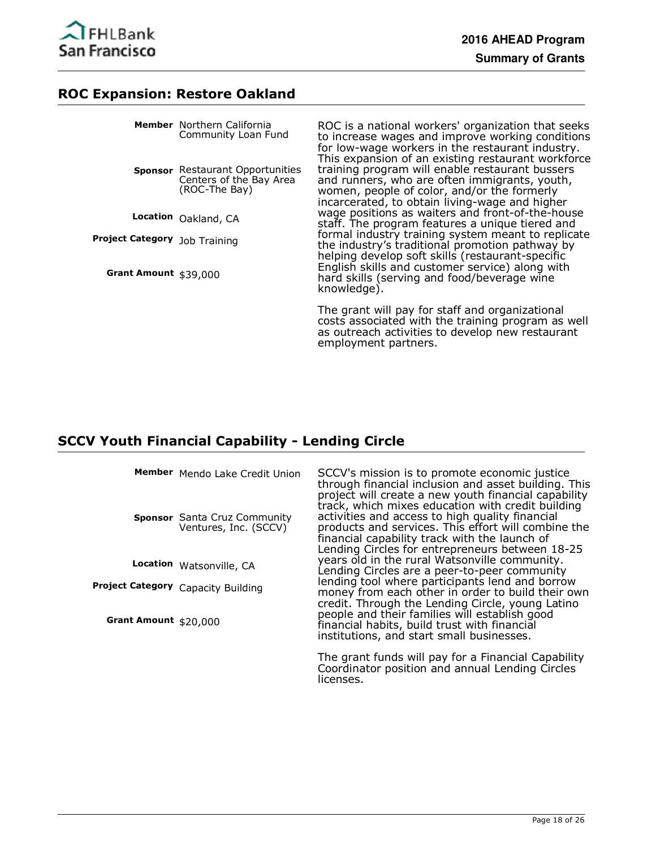

#### **ROC Expansion: Restore Oakland**

|                               | <b>Member</b> Northern California<br>Community Loan Fund                            | ROC is a national workers' organization that seeks<br>to increase wages and improve working conditions<br>for low-wage workers in the restaurant industry.<br>This expansion of an existing restaurant workforce                                                           |
|-------------------------------|-------------------------------------------------------------------------------------|----------------------------------------------------------------------------------------------------------------------------------------------------------------------------------------------------------------------------------------------------------------------------|
|                               | <b>Sponsor</b> Restaurant Opportunities<br>Centers of the Bay Area<br>(ROC-The Bay) | training program will enable restaurant bussers<br>and runners, who are often immigrants, youth,<br>women, people of color, and/or the formerly<br>incarcerated, to obtain living-wage and higher                                                                          |
|                               | Location Oakland, CA                                                                | wage positions as waiters and front-of-the-house<br>staff. The program features a unique tiered and                                                                                                                                                                        |
| Project Category Job Training |                                                                                     | formal industry training system meant to replicate<br>the industry's traditional promotion pathway by<br>helping develop soft skills (restaurant-specific<br>English skills and customer service) along with<br>hard skills (serving and food/beverage wine<br>knowledge). |
| Grant Amount \$39,000         |                                                                                     |                                                                                                                                                                                                                                                                            |
|                               |                                                                                     | The grant will pay for staff and organizational<br>costs associated with the training program as well                                                                                                                                                                      |

employment partners.

#### **SCCV Youth Financial Capability - Lending Circle**

Mendo Lake Credit Union **Member**

**Sponsor** Santa Cruz Community Ventures, Inc. (SCCV)

**Location** Watsonville, CA

**Project Category** Capacity Building

**Grant Amount** \$20,000

SCCV's mission is to promote economic justice through financial inclusion and asset building. This project will create a new youth financial capability track, which mixes education with credit building activities and access to high quality financial products and services. This effort will combine the financial capability track with the launch of Lending Circles for entrepreneurs between 18-25 years old in the rural Watsonville community. Lending Circles are a peer-to-peer community lending tool where participants lend and borrow money from each other in order to build their own credit. Through the Lending Circle, young Latino people and their families will establish good financial habits, build trust with financial institutions, and start small businesses.

as outreach activities to develop new restaurant

The grant funds will pay for a Financial Capability Coordinator position and annual Lending Circles licenses.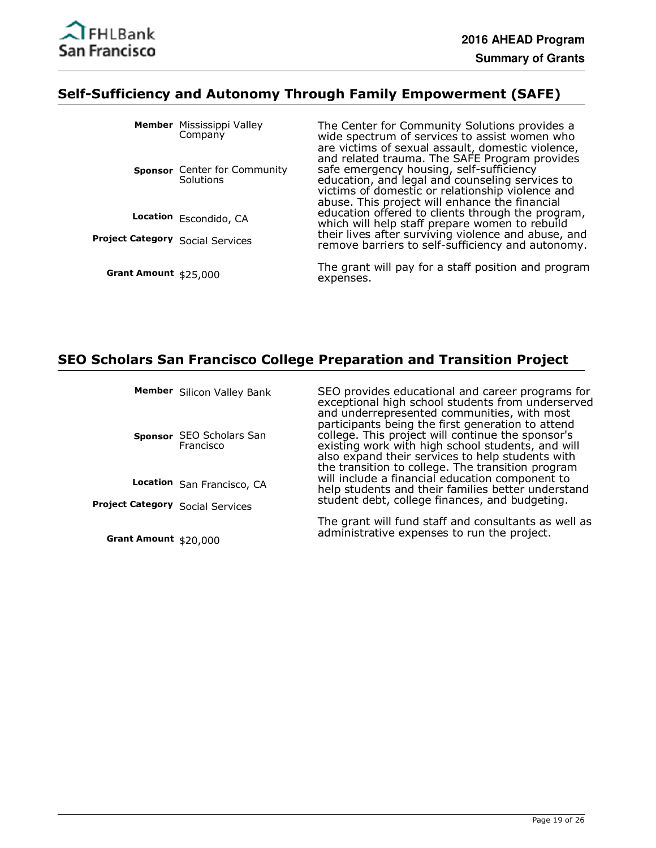

#### **Self-Sufficiency and Autonomy Through Family Empowerment (SAFE)**

|                                         | Member Mississippi Valley<br>Company      | The Center for Community Solutions provides a<br>wide spectrum of services to assist women who<br>are victims of sexual assault, domestic violence,                                                                                                |
|-----------------------------------------|-------------------------------------------|----------------------------------------------------------------------------------------------------------------------------------------------------------------------------------------------------------------------------------------------------|
|                                         | Sponsor Center for Community<br>Solutions | and related trauma. The SAFE Program provides<br>safe emergency housing, self-sufficiency<br>education, and legal and counseling services to<br>victims of domestic or relationship violence and<br>abuse. This project will enhance the financial |
|                                         | Location Escondido, CA                    | education offered to clients through the program,<br>which will help staff prepare women to rebuild                                                                                                                                                |
| <b>Project Category Social Services</b> |                                           | their lives after surviving violence and abuse, and<br>remove barriers to self-sufficiency and autonomy.                                                                                                                                           |
| Grant Amount \$25,000                   |                                           | The grant will pay for a staff position and program<br>expenses.                                                                                                                                                                                   |

#### **SEO Scholars San Francisco College Preparation and Transition Project**

Member Silicon Valley Bank

**Sponsor** SEO Scholars San Francisco

**Location** San Francisco, CA

**Project Category** Social Services

**Grant Amount** \$20,000

SEO provides educational and career programs for exceptional high school students from underserved and underrepresented communities, with most participants being the first generation to attend college. This project will continue the sponsor's existing work with high school students, and will also expand their services to help students with the transition to college. The transition program will include a financial education component to help students and their families better understand student debt, college finances, and budgeting.

The grant will fund staff and consultants as well as administrative expenses to run the project.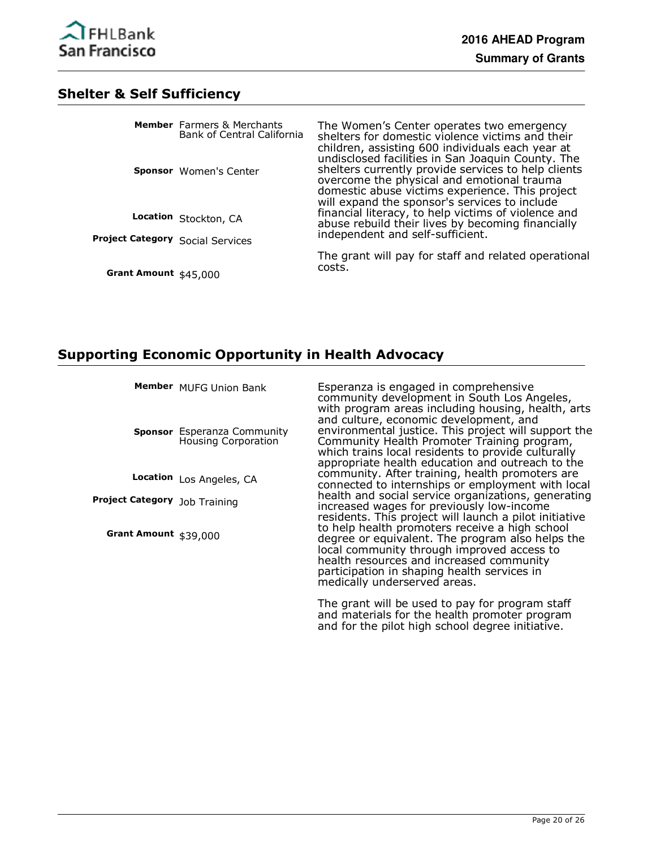

#### **Shelter & Self Sufficiency**

|                                         | <b>Member</b> Farmers & Merchants<br><b>Bank of Central California</b> | The Women's Center operates two emergency<br>shelters for domestic violence victims and their<br>children, assisting 600 individuals each year at<br>undisclosed facilities in San Joaquin County. The |
|-----------------------------------------|------------------------------------------------------------------------|--------------------------------------------------------------------------------------------------------------------------------------------------------------------------------------------------------|
|                                         | <b>Sponsor</b> Women's Center                                          | shelters currently provide services to help clients<br>overcome the physical and emotional trauma<br>domestic abuse victims experience. This project<br>will expand the sponsor's services to include  |
|                                         | Location Stockton, CA                                                  | financial literacy, to help victims of violence and<br>abuse rebuild their lives by becoming financially<br>independent and self-sufficient.                                                           |
| <b>Project Category Social Services</b> |                                                                        |                                                                                                                                                                                                        |
| Grant Amount \$45,000                   |                                                                        | The grant will pay for staff and related operational<br>costs.                                                                                                                                         |

# **Supporting Economic Opportunity in Health Advocacy**

Member MUFG Union Bank

**Sponsor** Esperanza Community Housing Corporation

Location Los Angeles, CA

**Project Category** Job Training

**Grant Amount** \$39,000

Esperanza is engaged in comprehensive community development in South Los Angeles, with program areas including housing, health, arts and culture, economic development, and environmental justice. This project will support the Community Health Promoter Training program, which trains local residents to provide culturally appropriate health education and outreach to the community. After training, health promoters are connected to internships or employment with local health and social service organizations, generating increased wages for previously low-income residents. This project will launch a pilot initiative to help health promoters receive a high school degree or equivalent. The program also helps the local community through improved access to health resources and increased community participation in shaping health services in medically underserved areas.

The grant will be used to pay for program staff and materials for the health promoter program and for the pilot high school degree initiative.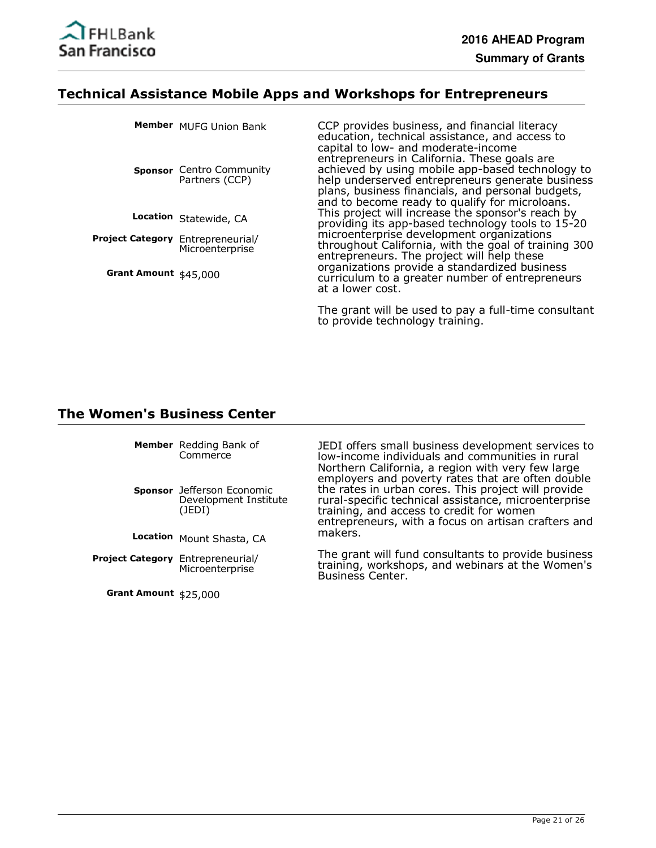

#### **Technical Assistance Mobile Apps and Workshops for Entrepreneurs**

|                                          | Member MUFG Union Bank                     | CCP provides business, and financial literacy<br>education, technical assistance, and access to<br>capital to low- and moderate-income                                                                                                                      |
|------------------------------------------|--------------------------------------------|-------------------------------------------------------------------------------------------------------------------------------------------------------------------------------------------------------------------------------------------------------------|
|                                          | Sponsor Centro Community<br>Partners (CCP) | entrepreneurs in California. These goals are<br>achieved by using mobile app-based technology to<br>help underserved entrepreneurs generate business<br>plans, business financials, and personal budgets,<br>and to become ready to qualify for microloans. |
|                                          | Location Statewide, CA                     | This project will increase the sponsor's reach by<br>providing its app-based technology tools to 15-20                                                                                                                                                      |
| <b>Project Category</b> Entrepreneurial/ | Microenterprise                            | microenterprise development organizations<br>throughout California, with the goal of training 300<br>entrepreneurs. The project will help these                                                                                                             |
| Grant Amount \$45,000                    |                                            | organizations provide a standardized business<br>curriculum to a greater number of entrepreneurs<br>at a lower cost.                                                                                                                                        |
|                                          |                                            |                                                                                                                                                                                                                                                             |

The grant will be used to pay a full-time consultant to provide technology training.

#### **The Women's Business Center**

**Member** Redding Bank of **Commerce** 

**Sponsor** Jefferson Economic Development Institute (JEDI)

**Location** Mount Shasta, CA

Project Category Entrepreneurial/ Microenterprise

**Grant Amount** \$25,000

JEDI offers small business development services to low-income individuals and communities in rural Northern California, a region with very few large employers and poverty rates that are often double the rates in urban cores. This project will provide rural-specific technical assistance, microenterprise training, and access to credit for women entrepreneurs, with a focus on artisan crafters and makers.

The grant will fund consultants to provide business training, workshops, and webinars at the Women's Business Center.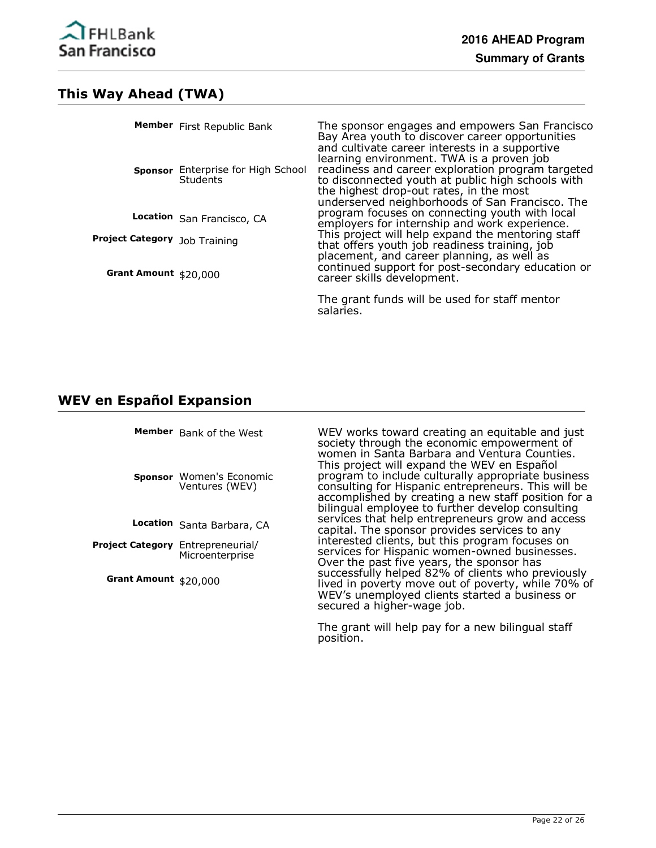

# **This Way Ahead (TWA)**

|                               | Member First Republic Bank                     | The sponsor engages and empowers San Francisco<br>Bay Area youth to discover career opportunities<br>and cultivate career interests in a supportive                                                                                               |
|-------------------------------|------------------------------------------------|---------------------------------------------------------------------------------------------------------------------------------------------------------------------------------------------------------------------------------------------------|
|                               | Sponsor Enterprise for High School<br>Students | learning environment. TWA is a proven job<br>readiness and career exploration program targeted<br>to disconnected youth at public high schools with<br>the highest drop-out rates, in the most<br>underserved neighborhoods of San Francisco. The |
|                               | Location San Francisco, CA                     | program focuses on connecting youth with local<br>employers for internship and work experience.                                                                                                                                                   |
| Project Category Job Training |                                                | This project will help expand the mentoring staff<br>that offers youth job readiness training, job                                                                                                                                                |
| Grant Amount \$20,000         |                                                | placement, and career planning, as well as<br>continued support for post-secondary education or<br>career skills development.                                                                                                                     |
|                               |                                                | The grant funds will be used for staff mentor<br>salaries.                                                                                                                                                                                        |

# **WEV en Español Expansion**

|                                          | Member Bank of the West<br>Sponsor Women's Economic<br>Ventures (WEV) | WEV works toward creating an equitable and just<br>society through the economic empowerment of<br>women in Santa Barbara and Ventura Counties.<br>This project will expand the WEV en Español<br>program to include culturally appropriate business<br>consulting for Hispanic entrepreneurs. This will be<br>accomplished by creating a new staff position for a<br>bilingual employee to further develop consulting |
|------------------------------------------|-----------------------------------------------------------------------|-----------------------------------------------------------------------------------------------------------------------------------------------------------------------------------------------------------------------------------------------------------------------------------------------------------------------------------------------------------------------------------------------------------------------|
|                                          | Location Santa Barbara, CA                                            | services that help entrepreneurs grow and access<br>capital. The sponsor provides services to any                                                                                                                                                                                                                                                                                                                     |
| <b>Project Category</b> Entrepreneurial/ | Microenterprise                                                       | interested clients, but this program focuses on<br>services for Hispanic women-owned businesses.<br>Over the past five years, the sponsor has<br>successfully helped 82% of clients who previously<br>lived in poverty move out of poverty, while 70% of<br>WEV's unemployed clients started a business or<br>secured a higher-wage job.                                                                              |
| Grant Amount $$20,000$                   |                                                                       |                                                                                                                                                                                                                                                                                                                                                                                                                       |

The grant will help pay for a new bilingual staff position.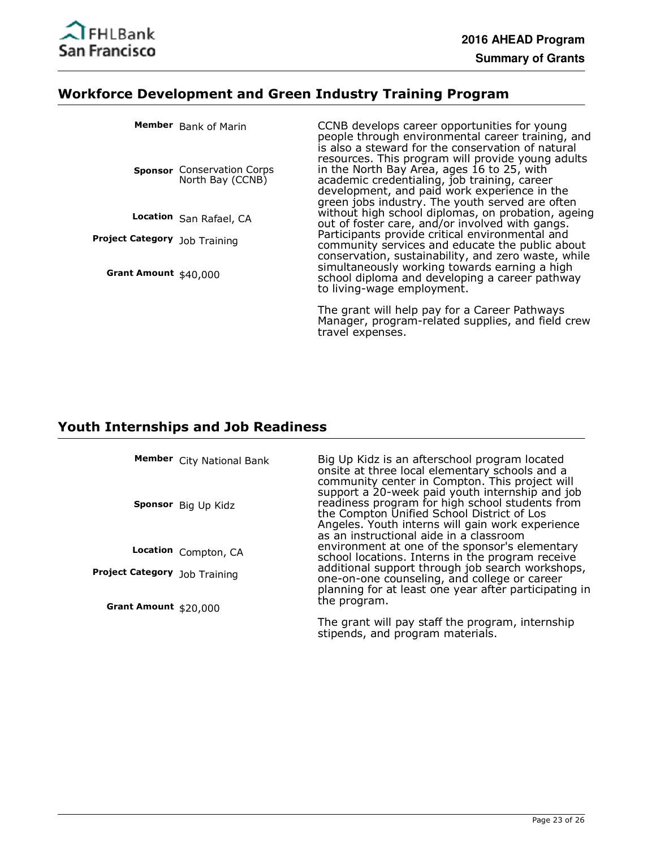

# **Workforce Development and Green Industry Training Program**

|                                      | Member Bank of Marin                                  | CCNB develops career opportunities for young<br>people through environmental career training, and<br>is also a steward for the conservation of natural                                                                                                                                     |
|--------------------------------------|-------------------------------------------------------|--------------------------------------------------------------------------------------------------------------------------------------------------------------------------------------------------------------------------------------------------------------------------------------------|
|                                      | <b>Sponsor</b> Conservation Corps<br>North Bay (CCNB) | resources. This program will provide young adults<br>in the North Bay Area, ages 16 to 25, with<br>academic credentialing, job training, career<br>development, and paid work experience in the<br>green jobs industry. The youth served are often                                         |
|                                      | Location San Rafael, CA                               | without high school diplomas, on probation, ageing<br>out of foster care, and/or involved with gangs.                                                                                                                                                                                      |
| <b>Project Category</b> Job Training |                                                       | Participants provide critical environmental and<br>community services and educate the public about<br>conservation, sustainability, and zero waste, while<br>simultaneously working towards earning a high<br>school diploma and developing a career pathway<br>to living-wage employment. |
| Grant Amount \$40,000                |                                                       |                                                                                                                                                                                                                                                                                            |
|                                      |                                                       | The grant will help pay for a Career Pathways<br>Manager, program-related supplies, and field crew                                                                                                                                                                                         |

travel expenses.

# **Youth Internships and Job Readiness**

|                               | Member City National Bank<br>Sponsor Big Up Kidz | Big Up Kidz is an afterschool program located<br>onsite at three local elementary schools and a<br>community center in Compton. This project will<br>support a 20-week paid youth internship and job<br>readiness program for high school students from<br>the Compton Unified School District of Los<br>Angeles. Youth interns will gain work experience<br>as an instructional aide in a classroom<br>environment at one of the sponsor's elementary<br>school locations. Interns in the program receive<br>additional support through job search workshops,<br>one-on-one counseling, and college or career<br>planning for at least one year after participating in<br>the program. |
|-------------------------------|--------------------------------------------------|-----------------------------------------------------------------------------------------------------------------------------------------------------------------------------------------------------------------------------------------------------------------------------------------------------------------------------------------------------------------------------------------------------------------------------------------------------------------------------------------------------------------------------------------------------------------------------------------------------------------------------------------------------------------------------------------|
|                               | Location Compton, CA                             |                                                                                                                                                                                                                                                                                                                                                                                                                                                                                                                                                                                                                                                                                         |
| Project Category Job Training |                                                  |                                                                                                                                                                                                                                                                                                                                                                                                                                                                                                                                                                                                                                                                                         |
| Grant Amount $$20,000$        |                                                  | The grant will pay staff the program, internship<br>stipends, and program materials.                                                                                                                                                                                                                                                                                                                                                                                                                                                                                                                                                                                                    |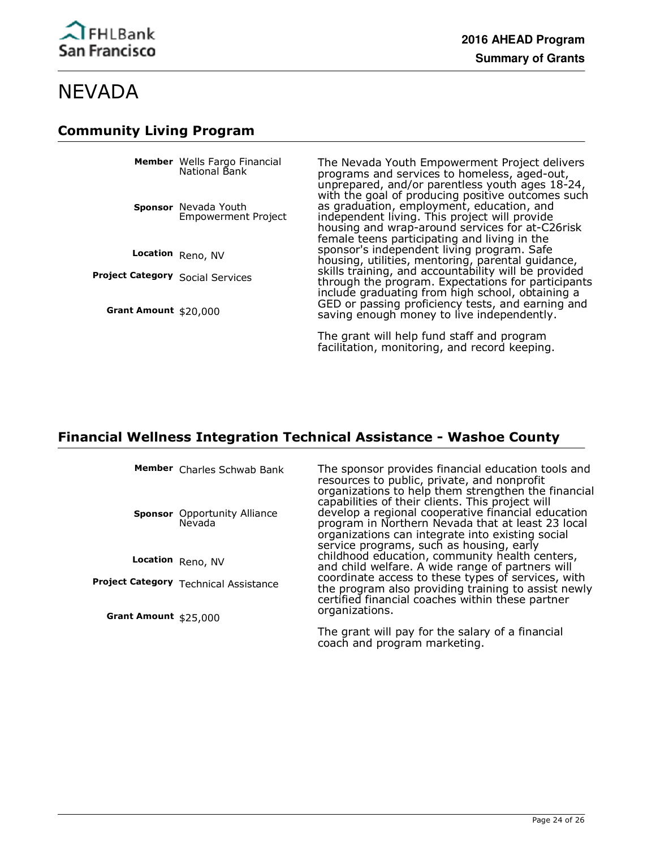# **Community Living Program**

|                                         | <b>Member</b> Wells Fargo Financial<br>National Bank | The Nevada Youth Empowerment Project delivers<br>programs and services to homeless, aged-out,<br>unprepared, and/or parentless youth ages 18-24,<br>with the goal of producing positive outcomes such<br>as graduation, employment, education, and<br>independent living. This project will provide<br>housing and wrap-around services for at-C26risk<br>female teens participating and living in the |
|-----------------------------------------|------------------------------------------------------|--------------------------------------------------------------------------------------------------------------------------------------------------------------------------------------------------------------------------------------------------------------------------------------------------------------------------------------------------------------------------------------------------------|
|                                         | Sponsor Nevada Youth<br><b>Empowerment Project</b>   |                                                                                                                                                                                                                                                                                                                                                                                                        |
|                                         | Location Reno, NV                                    | sponsor's independent living program. Safe<br>housing, utilities, mentoring, parental guidance,                                                                                                                                                                                                                                                                                                        |
| <b>Project Category Social Services</b> |                                                      | skills training, and accountability will be provided<br>through the program. Expectations for participants<br>include graduating from high school, obtaining a                                                                                                                                                                                                                                         |
| Grant Amount \$20,000                   |                                                      | GED or passing proficiency tests, and earning and<br>saving enough money to live independently.                                                                                                                                                                                                                                                                                                        |
|                                         |                                                      | The grant will help fund staff and program<br>facilitation, monitoring, and record keeping.                                                                                                                                                                                                                                                                                                            |

### **Financial Wellness Integration Technical Assistance - Washoe County**

Member Charles Schwab Bank

**Sponsor** Opportunity Alliance Nevada

**Location** Reno, NV

**Project Category** Technical Assistance

**Grant Amount** \$25,000

The sponsor provides financial education tools and resources to public, private, and nonprofit organizations to help them strengthen the financial capabilities of their clients. This project will develop a regional cooperative financial education program in Northern Nevada that at least 23 local organizations can integrate into existing social service programs, such as housing, early childhood education, community health centers, and child welfare. A wide range of partners will coordinate access to these types of services, with the program also providing training to assist newly certified financial coaches within these partner organizations.

The grant will pay for the salary of a financial coach and program marketing.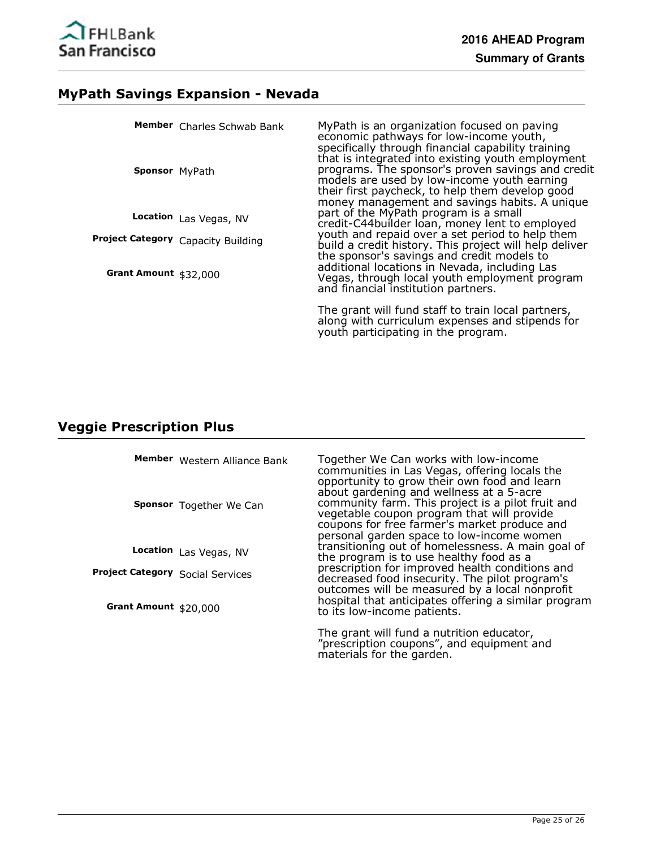

# **MyPath Savings Expansion - Nevada**

|                       | Member Charles Schwab Bank         | MyPath is an organization focused on paving<br>economic pathways for low-income youth,<br>specifically through financial capability training<br>that is integrated into existing youth employment    |
|-----------------------|------------------------------------|------------------------------------------------------------------------------------------------------------------------------------------------------------------------------------------------------|
| <b>Sponsor</b> MyPath |                                    | programs. The sponsor's proven savings and credit<br>models are used by low-income youth earning<br>their first paycheck, to help them develop good<br>money management and savings habits. A unique |
|                       | Location Las Vegas, NV             | part of the MyPath program is a small<br>credit-C44builder loan, money lent to employed                                                                                                              |
|                       | Project Category Capacity Building | youth and repaid over a set period to help them<br>build a credit history. This project will help deliver<br>the sponsor's savings and credit models to                                              |
| Grant Amount \$32,000 |                                    | additional locations in Nevada, including Las<br>Vegas, through local youth employment program<br>and financial institution partners.                                                                |
|                       |                                    | The grant will fund staff to train local partners,<br>along with curriculum expenses and stipends for<br>youth participating in the program.                                                         |

# **Veggie Prescription Plus**

|                                         | Member Western Alliance Bank<br>Sponsor Together We Can | Together We Can works with low-income<br>communities in Las Vegas, offering locals the<br>opportunity to grow their own food and learn<br>about gardening and wellness at a 5-acre<br>community farm. This project is a pilot fruit and<br>vegetable coupon program that will provide<br>coupons for free farmer's market produce and<br>personal garden space to low-income women |
|-----------------------------------------|---------------------------------------------------------|------------------------------------------------------------------------------------------------------------------------------------------------------------------------------------------------------------------------------------------------------------------------------------------------------------------------------------------------------------------------------------|
|                                         | Location Las Vegas, NV                                  | transitioning out of homelessness. A main goal of<br>the program is to use healthy food as a                                                                                                                                                                                                                                                                                       |
| <b>Project Category Social Services</b> |                                                         | prescription for improved health conditions and<br>decreased food insecurity. The pilot program's<br>outcomes will be measured by a local nonprofit                                                                                                                                                                                                                                |
| Grant Amount $$20,000$                  |                                                         | hospital that anticipates offering a similar program<br>to its low-income patients.                                                                                                                                                                                                                                                                                                |
|                                         |                                                         | The grant will fund a nutrition educator,<br>"prescription coupons", and equipment and                                                                                                                                                                                                                                                                                             |

materials for the garden.